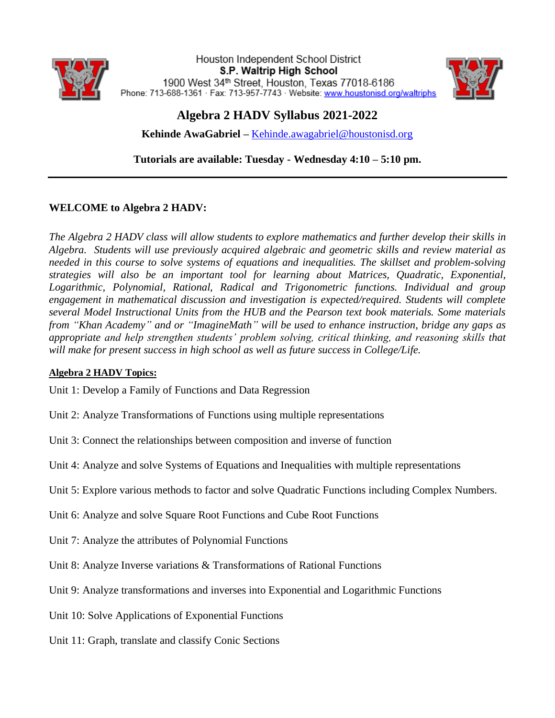

Houston Independent School District S.P. Waltrip High School 1900 West 34th Street, Houston, Texas 77018-6186 Phone: 713-688-1361 · Fax: 713-957-7743 · Website: www.houstonisd.org/waltriphs



# **Algebra 2 HADV Syllabus 2021-2022**

**Kehinde AwaGabriel –** [Kehinde.awagabriel@houstonisd.org](mailto:Kehinde.awagabriel@houstonisd.org)

**Tutorials are available: Tuesday - Wednesday 4:10 – 5:10 pm.** 

# **WELCOME to Algebra 2 HADV:**

*The Algebra 2 HADV class will allow students to explore mathematics and further develop their skills in Algebra. Students will use previously acquired algebraic and geometric skills and review material as needed in this course to solve systems of equations and inequalities. The skillset and problem-solving strategies will also be an important tool for learning about Matrices, Quadratic, Exponential, Logarithmic, Polynomial, Rational, Radical and Trigonometric functions. Individual and group engagement in mathematical discussion and investigation is expected/required. Students will complete several Model Instructional Units from the HUB and the Pearson text book materials. Some materials from "Khan Academy" and or "ImagineMath" will be used to enhance instruction, bridge any gaps as appropriate and help strengthen students' problem solving, critical thinking, and reasoning skills that will make for present success in high school as well as future success in College/Life.*

## **Algebra 2 HADV Topics:**

Unit 1: Develop a Family of Functions and Data Regression

- Unit 2: Analyze Transformations of Functions using multiple representations
- Unit 3: Connect the relationships between composition and inverse of function
- Unit 4: Analyze and solve Systems of Equations and Inequalities with multiple representations
- Unit 5: Explore various methods to factor and solve Quadratic Functions including Complex Numbers.
- Unit 6: Analyze and solve Square Root Functions and Cube Root Functions
- Unit 7: Analyze the attributes of Polynomial Functions
- Unit 8: Analyze Inverse variations & Transformations of Rational Functions
- Unit 9: Analyze transformations and inverses into Exponential and Logarithmic Functions
- Unit 10: Solve Applications of Exponential Functions
- Unit 11: Graph, translate and classify Conic Sections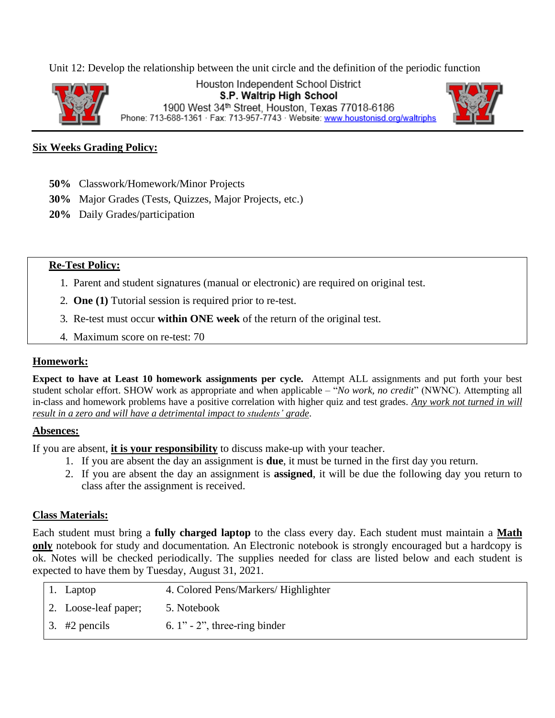Unit 12: Develop the relationship between the unit circle and the definition of the periodic function



Houston Independent School District S.P. Waltrip High School 1900 West 34th Street, Houston, Texas 77018-6186 Phone: 713-688-1361 · Fax: 713-957-7743 · Website: www.houstonisd.org/waltriphs



## **Six Weeks Grading Policy:**

- **50%** Classwork/Homework/Minor Projects
- **30%** Major Grades (Tests, Quizzes, Major Projects, etc.)
- **20%** Daily Grades/participation

#### **Re-Test Policy:**

- 1. Parent and student signatures (manual or electronic) are required on original test.
- 2. **One (1)** Tutorial session is required prior to re-test.
- 3. Re-test must occur **within ONE week** of the return of the original test.
- 4. Maximum score on re-test: 70

#### **Homework:**

**Expect to have at Least 10 homework assignments per cycle.** Attempt ALL assignments and put forth your best student scholar effort. SHOW work as appropriate and when applicable – "*No work, no credit*" (NWNC). Attempting all in-class and homework problems have a positive correlation with higher quiz and test grades. *Any work not turned in will result in a zero and will have a detrimental impact to students' grade*.

#### **Absences:**

If you are absent, **it is your responsibility** to discuss make-up with your teacher.

- 1. If you are absent the day an assignment is **due**, it must be turned in the first day you return.
- 2. If you are absent the day an assignment is **assigned**, it will be due the following day you return to class after the assignment is received.

#### **Class Materials:**

Each student must bring a **fully charged laptop** to the class every day. Each student must maintain a **Math only** notebook for study and documentation. An Electronic notebook is strongly encouraged but a hardcopy is ok. Notes will be checked periodically. The supplies needed for class are listed below and each student is expected to have them by Tuesday, August 31, 2021.

| 1. Laptop                    | 4. Colored Pens/Markers/ Highlighter |
|------------------------------|--------------------------------------|
| $\vert$ 2. Loose-leaf paper; | 5. Notebook                          |
| $\vert 3. \Vert 42$ pencils  | 6. $1$ " - 2", three-ring binder     |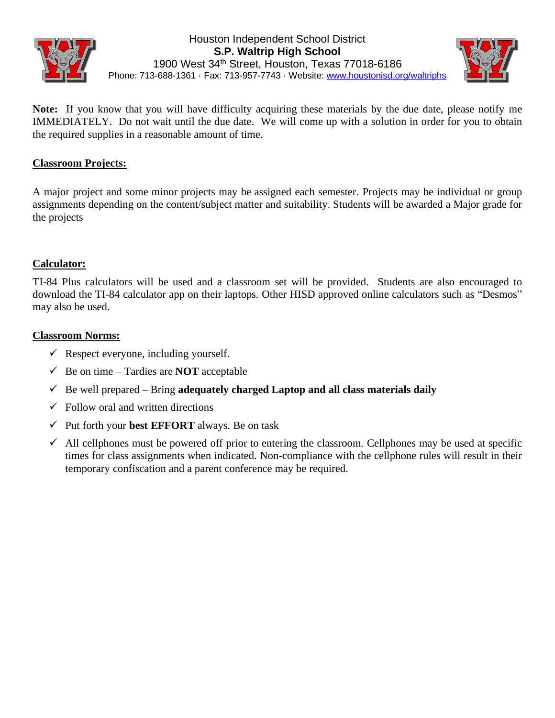



**Note:** If you know that you will have difficulty acquiring these materials by the due date, please notify me IMMEDIATELY. Do not wait until the due date. We will come up with a solution in order for you to obtain the required supplies in a reasonable amount of time.

# **Classroom Projects:**

A major project and some minor projects may be assigned each semester. Projects may be individual or group assignments depending on the content/subject matter and suitability. Students will be awarded a Major grade for the projects

# **Calculator:**

TI-84 Plus calculators will be used and a classroom set will be provided. Students are also encouraged to download the TI-84 calculator app on their laptops. Other HISD approved online calculators such as "Desmos" may also be used.

## **Classroom Norms:**

- $\checkmark$  Respect everyone, including yourself.
- $\checkmark$  Be on time Tardies are **NOT** acceptable
- $\checkmark$  Be well prepared Bring **adequately charged Laptop and all class materials daily**
- $\checkmark$  Follow oral and written directions
- ✓ Put forth your **best EFFORT** always. Be on task
- $\checkmark$  All cellphones must be powered off prior to entering the classroom. Cellphones may be used at specific times for class assignments when indicated. Non-compliance with the cellphone rules will result in their temporary confiscation and a parent conference may be required.